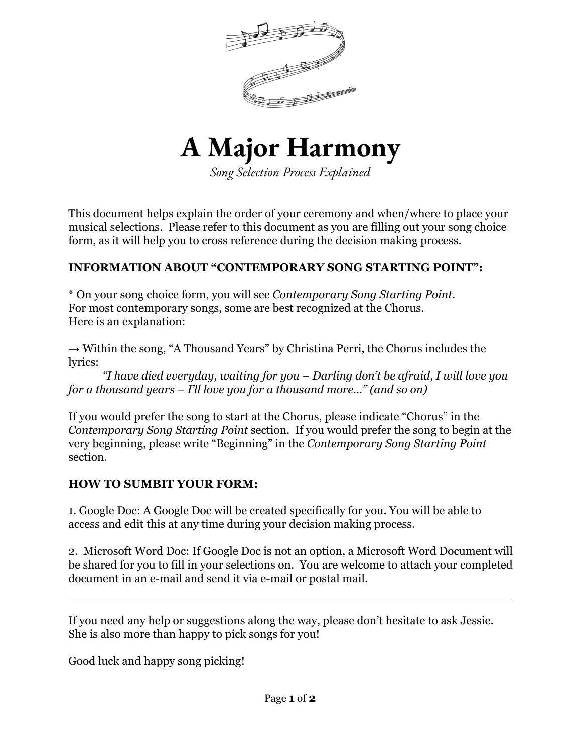



*Song Selection Process Explained*

This document helps explain the order of your ceremony and when/where to place your musical selections. Please refer to this document as you are filling out your song choice form, as it will help you to cross reference during the decision making process.

## **INFORMATION ABOUT "CONTEMPORARY SONG STARTING POINT":**

\* On your song choice form, you will see *Contemporary Song Starting Point.* For most contemporary songs, some are best recognized at the Chorus. Here is an explanation:

 $\rightarrow$  Within the song, "A Thousand Years" by Christina Perri, the Chorus includes the lyrics:

*"I have died everyday, waiting for you – Darling don't be afraid, I will love you for a thousand years – I'll love you for a thousand more…" (and so on)*

If you would prefer the song to start at the Chorus, please indicate "Chorus" in the *Contemporary Song Starting Point* section. If you would prefer the song to begin at the very beginning, please write "Beginning" in the *Contemporary Song Starting Point* section.

## **HOW TO SUMBIT YOUR FORM:**

1. Google Doc: A Google Doc will be created specifically for you. You will be able to access and edit this at any time during your decision making process.

2. Microsoft Word Doc: If Google Doc is not an option, a Microsoft Word Document will be shared for you to fill in your selections on. You are welcome to attach your completed document in an e-mail and send it via e-mail or postal mail.

If you need any help or suggestions along the way, please don't hesitate to ask Jessie. She is also more than happy to pick songs for you!

Good luck and happy song picking!